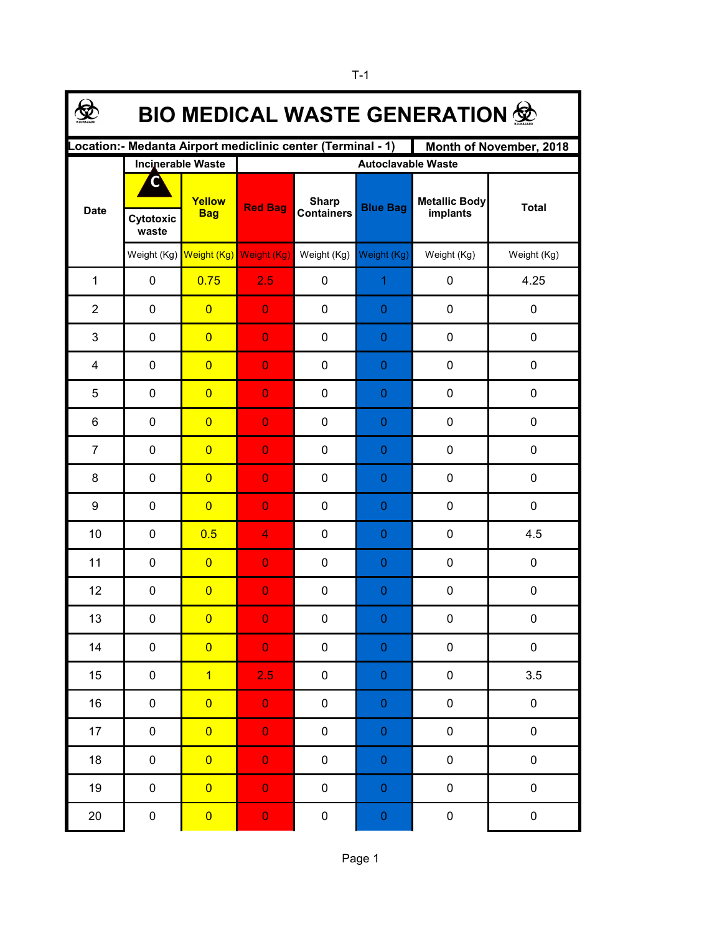| <b>BIO MEDICAL WASTE GENERATION 佥</b>                                                  |                          |                         |                           |                                   |                  |                                  |              |  |  |  |  |
|----------------------------------------------------------------------------------------|--------------------------|-------------------------|---------------------------|-----------------------------------|------------------|----------------------------------|--------------|--|--|--|--|
| Location:- Medanta Airport mediclinic center (Terminal - 1)<br>Month of November, 2018 |                          |                         |                           |                                   |                  |                                  |              |  |  |  |  |
|                                                                                        | <b>Incinerable Waste</b> |                         | <b>Autoclavable Waste</b> |                                   |                  |                                  |              |  |  |  |  |
| <b>Date</b>                                                                            |                          | Yellow<br><b>Bag</b>    | <b>Red Bag</b>            | <b>Sharp</b><br><b>Containers</b> | <b>Blue Bag</b>  | <b>Metallic Body</b><br>implants | <b>Total</b> |  |  |  |  |
|                                                                                        | Cytotoxic<br>waste       |                         |                           |                                   |                  |                                  |              |  |  |  |  |
|                                                                                        |                          | Weight (Kg) Weight (Kg) | Weight (Kg)               | Weight (Kg)                       | Weight (Kg)      | Weight (Kg)                      | Weight (Kg)  |  |  |  |  |
| $\mathbf{1}$                                                                           | 0                        | 0.75                    | 2.5                       | 0                                 | $\mathbf{1}$     | 0                                | 4.25         |  |  |  |  |
| $\overline{2}$                                                                         | $\pmb{0}$                | $\overline{0}$          | $\overline{0}$            | 0                                 | $\mathbf 0$      | 0                                | 0            |  |  |  |  |
| 3                                                                                      | $\pmb{0}$                | $\overline{0}$          | $\overline{0}$            | 0                                 | $\pmb{0}$        | 0                                | 0            |  |  |  |  |
| 4                                                                                      | $\pmb{0}$                | $\overline{0}$          | $\overline{0}$            | 0                                 | $\pmb{0}$        | 0                                | 0            |  |  |  |  |
| 5                                                                                      | $\mathbf 0$              | $\overline{0}$          | $\overline{0}$            | 0                                 | $\mathbf 0$      | 0                                | 0            |  |  |  |  |
| 6                                                                                      | $\mathbf 0$              | $\overline{0}$          | $\overline{0}$            | 0                                 | 0                | 0                                | 0            |  |  |  |  |
| $\overline{7}$                                                                         | $\mathbf 0$              | $\overline{0}$          | $\overline{0}$            | 0                                 | $\theta$         | 0                                | 0            |  |  |  |  |
| 8                                                                                      | 0                        | $\overline{0}$          | $\overline{0}$            | 0                                 | $\theta$         | 0                                | 0            |  |  |  |  |
| 9                                                                                      | $\mathbf 0$              | $\overline{0}$          | $\overline{0}$            | 0                                 | $\theta$         | 0                                | 0            |  |  |  |  |
| 10                                                                                     | $\mathbf 0$              | 0.5                     | 4                         | 0                                 | $\mathbf 0$      | 0                                | 4.5          |  |  |  |  |
| 11                                                                                     | $\mathbf 0$              | $\overline{0}$          | $\overline{0}$            | 0                                 | $\theta$         | 0                                | 0            |  |  |  |  |
| 12                                                                                     | $\pmb{0}$                | $\overline{0}$          | $\overline{0}$            | 0                                 | $\mathbf{0}$     | 0                                | 0            |  |  |  |  |
| 13                                                                                     | 0                        | $\overline{0}$          | $\overline{0}$            | 0                                 | $\Omega$         | 0                                | 0            |  |  |  |  |
| 14                                                                                     | $\pmb{0}$                | $\overline{0}$          | $\mathbf 0$               | $\pmb{0}$                         | $\pmb{0}$        | $\pmb{0}$                        | 0            |  |  |  |  |
| 15                                                                                     | $\pmb{0}$                | $\overline{1}$          | 2.5                       | $\pmb{0}$                         | $\pmb{0}$        | $\pmb{0}$                        | 3.5          |  |  |  |  |
| 16                                                                                     | 0                        | $\overline{0}$          | $\mathbf 0$               | $\pmb{0}$                         | $\boldsymbol{0}$ | $\pmb{0}$                        | 0            |  |  |  |  |
| $17 \,$                                                                                | 0                        | $\overline{0}$          | $\mathbf 0$               | $\pmb{0}$                         | $\boldsymbol{0}$ | $\pmb{0}$                        | $\pmb{0}$    |  |  |  |  |
| 18                                                                                     | 0                        | $\overline{0}$          | $\mathbf 0$               | $\pmb{0}$                         | $\boldsymbol{0}$ | $\pmb{0}$                        | $\pmb{0}$    |  |  |  |  |
| 19                                                                                     | $\pmb{0}$                | $\overline{0}$          | $\mathbf 0$               | $\pmb{0}$                         | $\pmb{0}$        | $\pmb{0}$                        | 0            |  |  |  |  |
| 20                                                                                     | $\pmb{0}$                | $\overline{\mathbf{0}}$ | $\mathbf 0$               | $\pmb{0}$                         | $\pmb{0}$        | $\pmb{0}$                        | 0            |  |  |  |  |